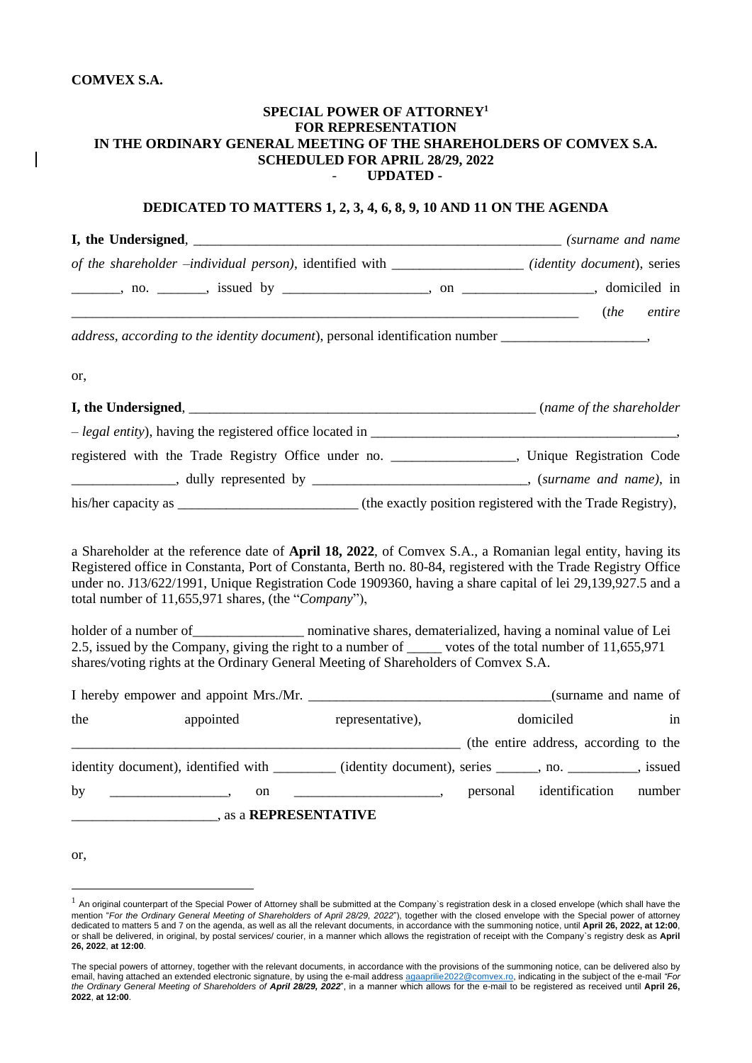## **COMVEX S.A.**

## **SPECIAL POWER OF ATTORNEY<sup>1</sup> FOR REPRESENTATION IN THE ORDINARY GENERAL MEETING OF THE SHAREHOLDERS OF COMVEX S.A. SCHEDULED FOR APRIL 28/29, 2022** - **UPDATED -**

## **DEDICATED TO MATTERS 1, 2, 3, 4, 6, 8, 9, 10 AND 11 ON THE AGENDA**

|     | of the shareholder -individual person), identified with _______________(identity document), series                                                                                                                                                                                                                                                                                                                                                                                     |                                       |           |                                |
|-----|----------------------------------------------------------------------------------------------------------------------------------------------------------------------------------------------------------------------------------------------------------------------------------------------------------------------------------------------------------------------------------------------------------------------------------------------------------------------------------------|---------------------------------------|-----------|--------------------------------|
|     |                                                                                                                                                                                                                                                                                                                                                                                                                                                                                        |                                       |           |                                |
|     |                                                                                                                                                                                                                                                                                                                                                                                                                                                                                        |                                       |           | (the entire                    |
|     | address, according to the identity document), personal identification number _____________________,                                                                                                                                                                                                                                                                                                                                                                                    |                                       |           |                                |
| or, |                                                                                                                                                                                                                                                                                                                                                                                                                                                                                        |                                       |           |                                |
|     |                                                                                                                                                                                                                                                                                                                                                                                                                                                                                        |                                       |           |                                |
|     |                                                                                                                                                                                                                                                                                                                                                                                                                                                                                        |                                       |           |                                |
|     | registered with the Trade Registry Office under no. _________________, Unique Registration Code                                                                                                                                                                                                                                                                                                                                                                                        |                                       |           |                                |
|     |                                                                                                                                                                                                                                                                                                                                                                                                                                                                                        |                                       |           |                                |
|     |                                                                                                                                                                                                                                                                                                                                                                                                                                                                                        |                                       |           |                                |
|     | under no. J13/622/1991, Unique Registration Code 1909360, having a share capital of lei 29,139,927.5 and a<br>total number of 11,655,971 shares, (the "Company"),<br>holder of a number of ______________________ nominative shares, dematerialized, having a nominal value of Lei<br>2.5, issued by the Company, giving the right to a number of _____ votes of the total number of 11,655,971<br>shares/voting rights at the Ordinary General Meeting of Shareholders of Comvex S.A. |                                       |           |                                |
|     |                                                                                                                                                                                                                                                                                                                                                                                                                                                                                        |                                       |           |                                |
| the | appointed                                                                                                                                                                                                                                                                                                                                                                                                                                                                              | representative),                      | domiciled | in                             |
|     |                                                                                                                                                                                                                                                                                                                                                                                                                                                                                        | (the entire address, according to the |           |                                |
|     | identity document), identified with ________ (identity document), series _____, no. _________, issued                                                                                                                                                                                                                                                                                                                                                                                  |                                       |           |                                |
| by  | on                                                                                                                                                                                                                                                                                                                                                                                                                                                                                     |                                       |           | personal identification number |
|     |                                                                                                                                                                                                                                                                                                                                                                                                                                                                                        |                                       |           |                                |
|     |                                                                                                                                                                                                                                                                                                                                                                                                                                                                                        |                                       |           |                                |
| or. |                                                                                                                                                                                                                                                                                                                                                                                                                                                                                        |                                       |           |                                |

 $1$  An original counterpart of the Special Power of Attorney shall be submitted at the Company's registration desk in a closed envelope (which shall have the mention "*For the Ordinary General Meeting of Shareholders of April 28/29, 2022*"), together with the closed envelope with the Special power of attorney dedicated to matters 5 and 7 on the agenda, as well as all the relevant documents, in accordance with the summoning notice, until **April 26, 2022, at 12:00**, or shall be delivered, in original, by postal services/ courier, in a manner which allows the registration of receipt with the Company`s registry desk as **April 26, 2022**, **at 12:00**.

The special powers of attorney, together with the relevant documents, in accordance with the provisions of the summoning notice, can be delivered also by email, having attached an extended electronic signature, by using the e-mail addres[s agaaprilie2022@comvex.ro,](mailto:agaaprilie2022@comvex.ro) indicating in the subject of the e-mail *"For the Ordinary General Meeting of Shareholders of April 28/29, 2022*", in a manner which allows for the e-mail to be registered as received until **April 26, 2022**, **at 12:00**.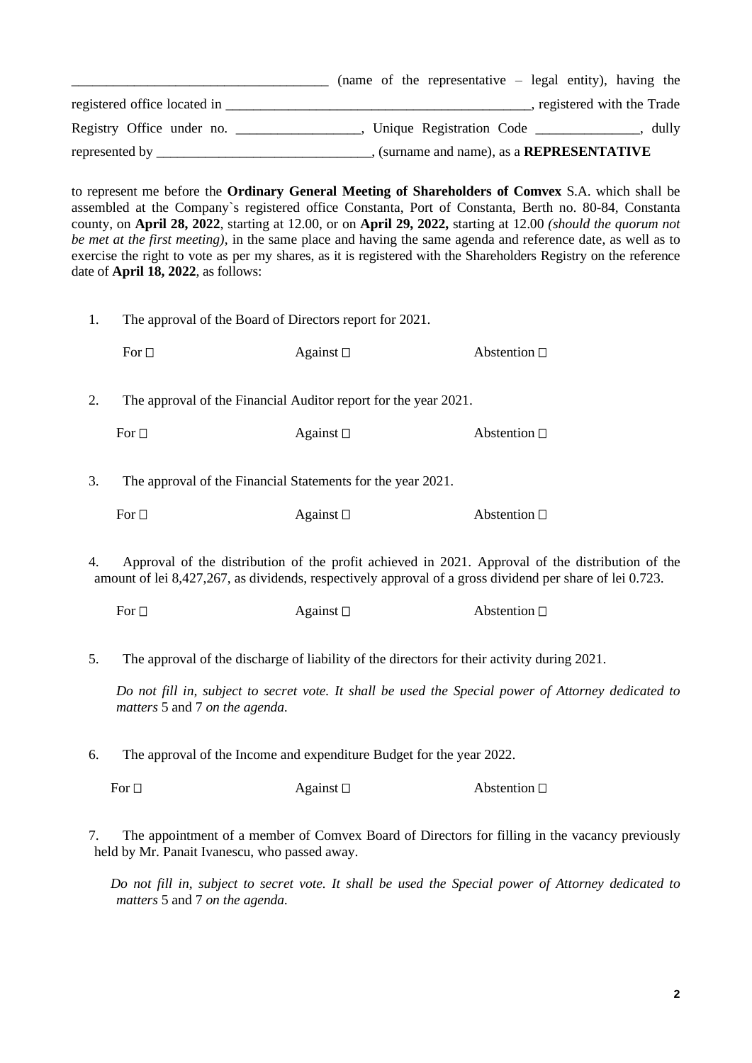|                              | (name of the representative $-$ legal entity), having the |
|------------------------------|-----------------------------------------------------------|
| registered office located in | registered with the Trade                                 |
| Registry Office under no.    | Unique Registration Code<br>dully                         |
| represented by _____         | (surname and name), as a <b>REPRESENTATIVE</b>            |

to represent me before the **Ordinary General Meeting of Shareholders of Comvex** S.A. which shall be assembled at the Company`s registered office Constanta, Port of Constanta, Berth no. 80-84, Constanta county, on **April 28, 2022**, starting at 12.00, or on **April 29, 2022,** starting at 12.00 *(should the quorum not be met at the first meeting)*, in the same place and having the same agenda and reference date, as well as to exercise the right to vote as per my shares, as it is registered with the Shareholders Registry on the reference date of **April 18, 2022**, as follows:

1. The approval of the Board of Directors report for 2021.

| For $\square$ | Against $\square$ | Abstention $\square$ |
|---------------|-------------------|----------------------|
|               |                   |                      |

2. The approval of the Financial Auditor report for the year 2021.

For  $\Box$  Against  $\Box$  Abstention  $\Box$ 

3. The approval of the Financial Statements for the year 2021.

| For $\square$ | Against $\square$ | Abstention $\square$ |
|---------------|-------------------|----------------------|
|---------------|-------------------|----------------------|

4. Approval of the distribution of the profit achieved in 2021. Approval of the distribution of the amount of lei 8,427,267, as dividends, respectively approval of a gross dividend per share of lei 0.723.

| For $\Box$ | Against $\square$ | Abstention $\square$ |
|------------|-------------------|----------------------|
|------------|-------------------|----------------------|

5. The approval of the discharge of liability of the directors for their activity during 2021.

*Do not fill in, subject to secret vote. It shall be used the Special power of Attorney dedicated to matters* 5 and 7 *on the agenda.*

6. The approval of the Income and expenditure Budget for the year 2022.

For  $\Box$  Against  $\Box$  Abstention  $\Box$ 

7. The appointment of a member of Comvex Board of Directors for filling in the vacancy previously held by Mr. Panait Ivanescu, who passed away.

*Do not fill in, subject to secret vote. It shall be used the Special power of Attorney dedicated to matters* 5 and 7 *on the agenda.*